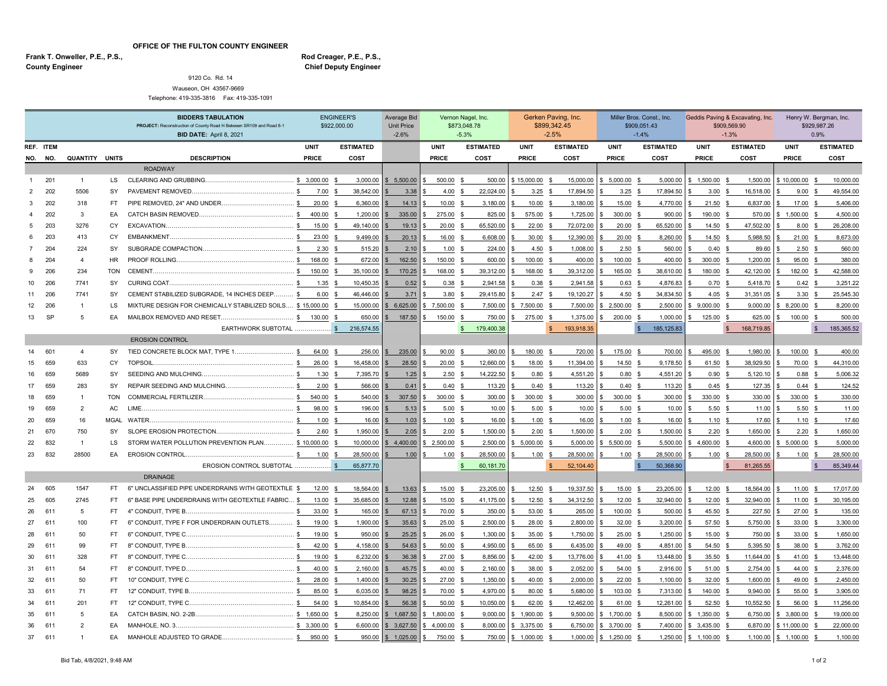**OFFICE OF THE FULTON COUNTY ENGINEER**

**County Engineer** Frank T. Onweller, P.E., P.S., **Rod Creager, P.E., P.S.,** Rod Creager, P.E., P.S.,

## **Chief Deputy Engineer**

9120 Co. Rd. 14 Wauseon, OH 43567-9669 Telephone: 419-335-3816 Fax: 419-335-1091

|              |     |                       |            | <b>BIDDERS TABULATION</b><br>PROJECT: Reconstruction of County Road H Between SR109 and Road 8-1 |                        | <b>ENGINEER'S</b><br>\$922,000.00 | Average Bid<br><b>Unit Price</b> | Vernon Nagel, Inc.<br>\$873,048.78 |                           | Gerken Paving, Inc.<br>\$899,342.45 |                            | Miller Bros. Const., Inc.<br>\$909,051.43 |                   | Geddis Paving & Excavating, Inc.<br>\$909,569.90 |                           | Henry W. Bergman, Inc.<br>\$929,987.26 |                                |
|--------------|-----|-----------------------|------------|--------------------------------------------------------------------------------------------------|------------------------|-----------------------------------|----------------------------------|------------------------------------|---------------------------|-------------------------------------|----------------------------|-------------------------------------------|-------------------|--------------------------------------------------|---------------------------|----------------------------------------|--------------------------------|
|              |     |                       |            | <b>BID DATE: April 8, 2021</b>                                                                   |                        |                                   | $-2.6%$                          | $-5.3%$                            |                           | $-2.5%$                             |                            | $-1.4%$                                   |                   | $-1.3%$                                          |                           | 0.9%                                   |                                |
| REF. ITEM    |     |                       |            |                                                                                                  | <b>UNIT</b>            | <b>ESTIMATED</b>                  |                                  | <b>UNIT</b>                        | <b>ESTIMATED</b>          | <b>UNIT</b>                         | <b>ESTIMATED</b>           | <b>UNIT</b>                               | <b>ESTIMATED</b>  | <b>UNIT</b>                                      | <b>ESTIMATED</b>          | <b>UNIT</b>                            | <b>ESTIMATED</b>               |
| NO. NO.      |     | <b>QUANTITY UNITS</b> |            | <b>DESCRIPTION</b>                                                                               | PRICE                  | COST                              |                                  | PRICE                              | COST                      | <b>PRICE</b>                        | COST                       | PRICE                                     | COST              | PRICE                                            | COST                      | <b>PRICE</b>                           | COST                           |
|              |     |                       |            | <b>ROADWAY</b>                                                                                   |                        |                                   |                                  |                                    |                           |                                     |                            |                                           |                   |                                                  |                           |                                        |                                |
|              | 201 | $\mathbf{1}$          | <b>LS</b>  |                                                                                                  |                        | 3,000.00                          | \$5,500.00                       | 500.00                             | 500.00                    | \$15,000.00 \$                      | 15,000.00                  | 5,000.00                                  | 5,000.00          | \$1,500.00                                       | 1,500.00<br>\$            | \$10,000.00                            | 10,000.00                      |
| 2            | 202 | 5506                  | SY         |                                                                                                  | $\mathbf{C}$<br>7.00   | 38,542.00<br>- \$                 | 3.38                             | 4.00                               | 22,024.00<br>\$           | $3.25$ \$                           | 17,894.50                  | 3.25                                      | 17,894.50<br>- \$ | 3.00                                             | 16,518.00<br>- \$         | 9.00                                   | 49,554.00<br>- \$              |
| 3            | 202 | 318                   | FT.        |                                                                                                  | 20.00                  | 6,360.00                          | 14.13                            | 10.00                              | 3,180.00                  | 10.00                               | 3,180.00<br>-S             | 15.00                                     | 4,770.00          | 21.50                                            | 6,837.00<br>- \$          | 17.00                                  | 5,406.00                       |
| $\mathbf{4}$ | 202 | 3                     | EA         |                                                                                                  | 400.00 \$              | 1,200.00                          | 335.00                           | 275.00                             | 825.00                    | 575.00                              | 1,725.00<br>\$             | 300.00                                    | 900.00            | 190.00                                           | 570.00<br>- \$            | 1,500.00                               | 4,500.00                       |
| 5            | 203 | 3276                  | CY.        |                                                                                                  | 15.00                  | 49,140.00                         | 19.13                            | 20.00                              | 65,520.00                 | 22.00                               | 72,072.00<br>S.            | 20.00                                     | 65,520.00<br>- \$ | 14.50                                            | 47,502.00<br>-S           | 8.00                                   | 26,208.00                      |
| 6            | 203 | 413                   | <b>CY</b>  |                                                                                                  | 23.00                  | $\mathbf s$<br>9,499.00           | 20.13                            | 16.00                              | 6,608.00                  | $30.00$ \$                          | 12,390.00                  | 20.00                                     | 8,260.00<br>-96   | 14.50                                            | $\mathcal{S}$<br>5,988.50 | 21.00                                  | 8,673.00<br>$\mathbf{\hat{S}}$ |
|              | 204 | 224                   | SY         |                                                                                                  | 2.30 <sup>5</sup>      | 515.20                            | 2.10                             | 1.00                               | 224.00<br>- \$            | 4.50 $$$                            | 1,008.00                   | $2.50$ \$                                 | 560.00            | 0.40                                             | 89.60<br>- \$             | $2.50$ \$                              | 560.00                         |
| 8            | 204 | $\overline{a}$        | HR.        |                                                                                                  | 168.00                 | 672.00<br>-96                     | 162.50                           | 150.00                             | 600.00                    | 100.00                              | 400.00<br>- \$             | 100.00                                    | 400.00<br>- \$    | 300.00                                           | 1,200.00<br>- \$          | 95.00                                  | 380.00<br>-8                   |
|              | 206 | 234                   | <b>TON</b> |                                                                                                  | $\mathbf{s}$<br>150.00 | 35,100.00<br>-S                   | 170.25                           | 168.00                             | 39,312.00<br>- \$         | 168.00                              | 39,312.00<br>-S            | 165.00                                    | 38,610.00         | 180.00                                           | 42,120.00                 | 182.00                                 | 42,588.00                      |
| 10           | 206 | 7741                  | SY         |                                                                                                  | 1.35                   | 10,450.35<br>- \$                 | 0.52                             | 0.38                               | 2,941.58<br>$\mathbf{s}$  | 0.38                                | 2,941.58<br>$\mathbf{s}$   | 0.63                                      | 4,876.83<br>- \$  | 0.70                                             | 5,418.70<br>$\mathbf{s}$  | 0.42                                   | 3,251.22                       |
| 11           | 206 | 7741                  | SY         | CEMENT STABILIZED SUBGRADE, 14 INCHES DEEP                                                       | 6.00                   | 46,446.00                         | 3.71                             | 3.80                               | 29,415.80<br>_\$          | 2.47                                | 19,120.27<br>- \$          | 4.50                                      | 34,834.50<br>- \$ | 4.05                                             | 31,351.05<br>- \$         | 3.30                                   | 25,545.30                      |
| 12           | 206 | $\overline{1}$        | LS         | MIXTURE DESIGN FOR CHEMICALLY STABILIZED SOILS \$15,000.00                                       |                        | 15,000.00<br>- \$                 | 6,625.00                         | \$7,500.00                         | 7,500.00                  | 7,500.00 \$                         | 7,500.00                   | 2,500.00                                  | 2,500.00<br>- \$  | \$9,000.00                                       | 9,000.00<br>$\mathbf{s}$  | 8,200.00                               | 8,200.00                       |
| 13           | SP  | 5                     | EA         |                                                                                                  | 130.00                 | 650.00                            | 187.50                           | 150.00                             | 750.00<br>_\$             | 275.00                              | 1,375.00<br>- S            | 200.00                                    | 1,000.00<br>- \$  | 125.00                                           | 625.00<br>- \$            | 100.00                                 | 500.00                         |
|              |     |                       |            | EARTHWORK SUBTOTAL  \$<br><b>EROSION CONTROL</b>                                                 |                        | 216,574.55                        |                                  |                                    | 179,400.38                |                                     | 193.918.35                 |                                           | 185.125.83        |                                                  | 168,719.85                |                                        | 185,365,52                     |
| 14           | 601 | $\overline{4}$        | SY         |                                                                                                  | 64.00 \$               | 256.00                            | 235.00                           | 90.00                              | 360.00                    | 180.00                              | 720.00                     | 175.00                                    | 700.00            | 495.00                                           | 1.980.00                  | 100.00                                 | 400.00                         |
| 15           | 659 | 633                   | <b>CY</b>  | <b>TOPSOIL</b>                                                                                   | 26.00                  | 16,458.00<br>- \$                 | 28.50                            | 20.00                              | 12,660.00<br>- \$         | 18.00                               | 11.394.00<br>$\mathcal{S}$ | 14.50                                     | 9,178.50<br>- \$  | 61.50                                            | 38,929.50<br>- \$         | 70.00                                  | 44,310.00                      |
| 16           | 659 | 5689                  | SY         | SEEDING AND MULCHING.                                                                            | 1.30                   | 7,395.70                          | 1.25                             | 2.50                               | 14,222.50                 | 0.80                                | 4,551.20<br><b>S</b>       | 0.80                                      | 4,551.20<br>- \$  | 0.90                                             | 5,120.10<br><b>S</b>      | 0.88                                   | 5,006.32                       |
| 17           | 659 | 283                   | SY         |                                                                                                  | 2.00                   | $\mathbf s$<br>566.00             | 0.41                             | 0.40                               | 113.20                    | $0.40\,$ \$                         | 113.20                     | 0.40                                      | 113.20<br>-96     | 0.45                                             | 127.35<br>- \$            | 0.44                                   | 124.52                         |
| 18           | 659 | $\overline{1}$        | <b>TON</b> |                                                                                                  | 540.00 \$              | 540.00                            | 307.50                           | 300.00                             | 300.00<br>- \$            | 300.00 \$                           | 300.00                     | 300.00                                    | 300.00<br>-\$     | 330.00                                           | 330.00<br>- \$            | 330.00                                 | 330.00<br>- \$                 |
| 19           | 659 | $\overline{2}$        | AC         | LIME.                                                                                            | 98.00                  | 196.00                            | 5.13                             | 5.00                               | 10.00<br>$\mathbf{s}$     | $5.00$ \$                           | 10.00                      | 5.00                                      | 10.00<br>- \$     | 5.50                                             | 11.00<br>\$               | 5.50                                   | 11.00<br>-S                    |
| 20           | 659 | 16                    |            |                                                                                                  | $\mathbf{s}$<br>1.00   | 16.00<br>- \$                     | 1.03                             | 1.00                               | 16.00<br>ፍ                | 1.00                                | 16.00<br>-S                | 1.00                                      | 16.00<br>- \$     | 1.10                                             | 17.60<br><b>S</b>         | 1.10                                   | 17.60<br>- \$                  |
| 21           | 670 | 750                   | SY         |                                                                                                  | 2.60                   | 1,950.00<br>$\mathbf{s}$          | 2.05                             | 2.00                               | 1,500.00<br>$\mathbf{s}$  | $2.00$ \$                           | 1,500.00                   | 2.00                                      | 1,500.00<br>\$    | 2.20                                             | 1,650.00<br>\$            | 2.20                                   | 1,650.00<br>-S                 |
| 22           | 832 | $\overline{1}$        | LS         | STORM WATER POLLUTION PREVENTION PLAN                                                            | \$10,000.00            | 10,000.00                         | 4,400.00                         | \$2,500.00                         | 2,500.00                  | 5,000.00                            | 5,000.00                   | 5,500.00                                  | 5,500.00          | 4,600.00                                         | 4,600.00                  | 5,000.00                               | 5,000.00                       |
| 23           | 832 | 28500                 | EA         |                                                                                                  | 1.00                   | 28,500.00                         | 1.00                             | 1.00                               | 28,500.00                 | 1.00                                | 28.500.00<br>-S            | 1.00                                      | 28,500.00         | 1.00                                             | 28.500.00<br>\$.          | 1.00                                   | 28,500.00                      |
|              |     |                       |            | EROSION CONTROL SUBTOTAL                                                                         |                        | 65,877.70                         |                                  |                                    | 60,181.70<br>$\mathbf{s}$ |                                     | 52,104.40                  |                                           | 50,368.90         |                                                  | 81,265.55                 |                                        | 85,349.44                      |
|              |     |                       |            | <b>DRAINAGE</b>                                                                                  |                        |                                   |                                  |                                    |                           |                                     |                            |                                           |                   |                                                  |                           |                                        |                                |
| 24           | 605 | 1547                  | FT.        | 6" UNCLASSIFIED PIPE UNDERDRAINS WITH GEOTEXTILE \$                                              | 12.00 \$               | 18,564.00                         | 13.63                            | 15.00                              | 23,205.00<br>- \$         | $12.50$ \$                          | 19,337.50                  | 15.00                                     | 23,205.00<br>- S  | 12.00 \$                                         | 18,564.00                 | 11.00                                  | 17,017.00                      |
| 25           | 605 | 2745                  | FT.        | 6" BASE PIPE UNDERDRAINS WITH GEOTEXTILE FABRIC \$                                               | 13.00                  | 35,685.00                         | 12.88                            | 15.00                              | 41,175.00                 | 12.50                               | 34,312.50<br>\$            | 12.00                                     | 32,940.00         | 12.00                                            | 32,940.00<br>-S           | 11.00                                  | 30,195.00                      |
| 26           | 611 | 5                     | FT.        | 4" CONDUIT, TYPE B                                                                               | 33.00 \$               | 165.00                            | 67.13                            | 70.00                              | 350.00                    | 53.00 \$                            | 265.00                     | 100.00                                    | 500.00<br>- \$    | 45.50                                            | 227.50<br>- \$            | 27.00                                  | 135.00<br>-8                   |
| 27           | 611 | 100                   | FT.        | 6" CONDUIT. TYPE F FOR UNDERDRAIN OUTLETS \$                                                     | 19.00                  | 1,900.00<br>- \$                  | 35.63                            | 25.00                              | 2,500.00                  | 28.00                               | 2.800.00<br>-S             | 32.00                                     | 3,200.00<br>- \$  | 57.50                                            | 5,750.00<br>-S            | 33.00                                  | 3,300.00                       |
| 28           | 611 | 50                    | FT.        |                                                                                                  | 19.00                  | 950.00                            | 25.25                            | 26.00                              | 1,300.00                  | 35.00 \$                            | 1,750.00                   | 25.00                                     | 1,250.00<br>- \$  | 15.00                                            | 750.00<br>\$              | 33.00                                  | 1,650.00<br>- \$               |
| 29           | 611 | 99                    | FT.        | 8" CONDUIT, TYPE B.                                                                              | 42.00 \$               | 4,158.00                          | 54.63                            | 50.00                              | 4,950.00                  | 65.00 \$                            | 6,435.00                   | 49.00                                     | 4,851.00<br>- \$  | 54.50                                            | 5,395.50<br>- \$          | 38.00                                  | 3,762.00                       |
| 30           | 611 | 328                   | FT.        |                                                                                                  | 19.00                  | 6,232.00<br>- \$                  | 36.38                            | 27.00                              | 8,856.00<br>- \$          | 42.00 \$                            | 13,776.00                  | 41.00                                     | 13,448.00<br>- \$ | 35.50                                            | 11,644.00<br>- \$         | 41.00                                  | 13,448.00<br>-96               |
| -31          | 611 | 54                    | FT.        |                                                                                                  | 40.00                  | 2,160.00<br>- \$                  | 45.75                            | 40.00                              | 2,160.00                  | 38.00                               | 2,052.00<br>-S             | 54.00                                     | 2,916.00          | 51.00                                            | 2,754.00<br>- \$          | 44.00                                  | 2,376.00                       |
| 32           | 611 | 50                    | FT.        | 10" CONDUIT, TYPE C.                                                                             | 28.00                  | 1,400.00                          | 30.25                            | 27.00                              | 1.350.00<br>- \$          | 40.00                               | 2,000.00<br>-S             | 22.00                                     | 1,100.00<br>- \$  | 32.00                                            | 1,600.00<br>-S            | 49.00                                  | 2,450.00                       |
| 33           | 611 | 71                    | FT.        |                                                                                                  | 85.00                  | 6,035.00<br>- \$                  | 98.25                            | 70.00                              | 4,970.00<br>- \$          | 80.00 \$                            | 5,680.00                   | 103.00                                    | 7,313.00<br>- \$  | 140.00                                           | 9,940.00<br>- \$          | 55.00                                  | 3,905.00<br>- \$               |
| 34           | 611 | 201                   | FT.        |                                                                                                  | 54.00 \$               | 10,854.00                         | 56.38                            | 50.00                              | 10,050.00<br>-\$          | 62.00 \$                            | 12,462.00                  | 61.00                                     | 12,261.00<br>- \$ | 52.50 \$                                         | 10,552.50                 | 56.00                                  | 11,256.00<br>- \$              |
| 35           | 611 | 5                     | EA         |                                                                                                  | 5, 1.650.00            | 8,250.00                          | 1,687.50                         | 1,800.00                           | 9,000.00                  | 1,900.00                            | 9,500.00                   | 1,700.00                                  | 8,500.00          | 1,350.00<br>\$                                   | 6,750.00                  | 3,800.00                               | 19,000.00                      |
|              | 611 |                       | EA         |                                                                                                  |                        | 6,600.00                          | \$3,627.50                       | 64,000.00                          | 8.000.00                  | 3,375.00                            | 6,750.00                   | 3,700.00                                  | 7,400.00          | \$3,435.00                                       | 6,870.00                  | \$11,000.00                            | 22,000.00                      |
| -37          | 611 |                       | EA         | MANHOLE ADJUSTED TO GRADE.                                                                       | $\mathbf{S}$<br>950.00 | 950.00                            | \$1,025.00                       | 750.00                             | 750.00                    | \$1,000.00\$                        | 1,000.00                   | \$1,250.00                                | 1,250.00<br>- \$  | $$1,100.00$ \$                                   | 1,100.00                  | \$1,100.00                             | 1,100.00<br>- \$               |